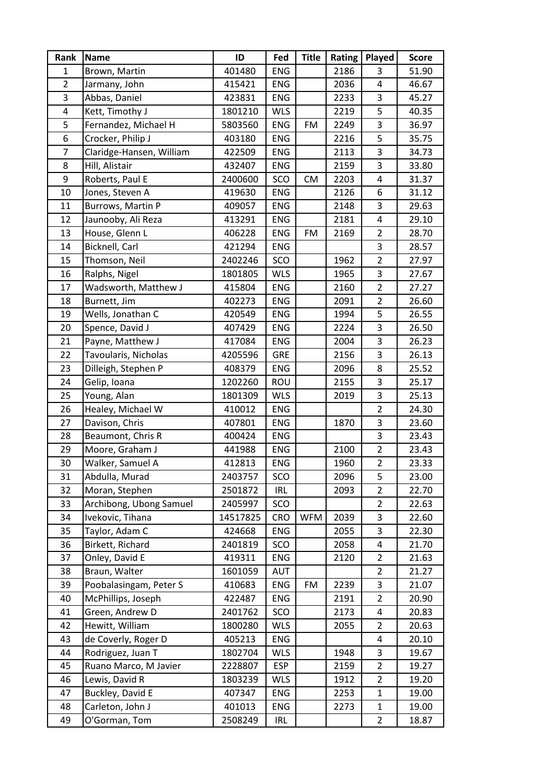| Rank           | <b>Name</b>              | ID       | Fed        | <b>Title</b> | Rating | Played                  | <b>Score</b> |
|----------------|--------------------------|----------|------------|--------------|--------|-------------------------|--------------|
| $\mathbf{1}$   | Brown, Martin            | 401480   | <b>ENG</b> |              | 2186   | 3                       | 51.90        |
| $\overline{2}$ | Jarmany, John            | 415421   | <b>ENG</b> |              | 2036   | 4                       | 46.67        |
| 3              | Abbas, Daniel            | 423831   | <b>ENG</b> |              | 2233   | 3                       | 45.27        |
| $\pmb{4}$      | Kett, Timothy J          | 1801210  | <b>WLS</b> |              | 2219   | 5                       | 40.35        |
| 5              | Fernandez, Michael H     | 5803560  | <b>ENG</b> | FM           | 2249   | 3                       | 36.97        |
| 6              | Crocker, Philip J        | 403180   | <b>ENG</b> |              | 2216   | 5                       | 35.75        |
| $\overline{7}$ | Claridge-Hansen, William | 422509   | ENG        |              | 2113   | 3                       | 34.73        |
| 8              | Hill, Alistair           | 432407   | <b>ENG</b> |              | 2159   | 3                       | 33.80        |
| 9              | Roberts, Paul E          | 2400600  | SCO        | <b>CM</b>    | 2203   | 4                       | 31.37        |
| 10             | Jones, Steven A          | 419630   | <b>ENG</b> |              | 2126   | 6                       | 31.12        |
| 11             | Burrows, Martin P        | 409057   | ENG        |              | 2148   | 3                       | 29.63        |
| 12             | Jaunooby, Ali Reza       | 413291   | <b>ENG</b> |              | 2181   | 4                       | 29.10        |
| 13             | House, Glenn L           | 406228   | <b>ENG</b> | FM           | 2169   | $\overline{2}$          | 28.70        |
| 14             | Bicknell, Carl           | 421294   | <b>ENG</b> |              |        | 3                       | 28.57        |
| 15             | Thomson, Neil            | 2402246  | SCO        |              | 1962   | $\overline{2}$          | 27.97        |
| 16             | Ralphs, Nigel            | 1801805  | <b>WLS</b> |              | 1965   | 3                       | 27.67        |
| 17             | Wadsworth, Matthew J     | 415804   | ENG        |              | 2160   | $\overline{2}$          | 27.27        |
| 18             | Burnett, Jim             | 402273   | <b>ENG</b> |              | 2091   | $\overline{2}$          | 26.60        |
| 19             | Wells, Jonathan C        | 420549   | <b>ENG</b> |              | 1994   | 5                       | 26.55        |
| 20             | Spence, David J          | 407429   | ENG        |              | 2224   | 3                       | 26.50        |
| 21             | Payne, Matthew J         | 417084   | <b>ENG</b> |              | 2004   | 3                       | 26.23        |
| 22             | Tavoularis, Nicholas     | 4205596  | <b>GRE</b> |              | 2156   | 3                       | 26.13        |
| 23             | Dilleigh, Stephen P      | 408379   | <b>ENG</b> |              | 2096   | 8                       | 25.52        |
| 24             | Gelip, Ioana             | 1202260  | ROU        |              | 2155   | 3                       | 25.17        |
| 25             | Young, Alan              | 1801309  | <b>WLS</b> |              | 2019   | 3                       | 25.13        |
| 26             | Healey, Michael W        | 410012   | ENG        |              |        | $\overline{2}$          | 24.30        |
| 27             | Davison, Chris           | 407801   | <b>ENG</b> |              | 1870   | 3                       | 23.60        |
| 28             | Beaumont, Chris R        | 400424   | <b>ENG</b> |              |        | 3                       | 23.43        |
| 29             | Moore, Graham J          | 441988   | <b>ENG</b> |              | 2100   | $\overline{2}$          | 23.43        |
| $30\,$         | Walker, Samuel A         | 412813   | ENG        |              | 1960   | $\overline{\mathbf{c}}$ | 23.33        |
| 31             | Abdulla, Murad           | 2403757  | SCO        |              | 2096   | 5                       | 23.00        |
| 32             | Moran, Stephen           | 2501872  | <b>IRL</b> |              | 2093   | 2                       | 22.70        |
| 33             | Archibong, Ubong Samuel  | 2405997  | SCO        |              |        | $\overline{2}$          | 22.63        |
| 34             | Ivekovic, Tihana         | 14517825 | <b>CRO</b> | <b>WFM</b>   | 2039   | 3                       | 22.60        |
| 35             | Taylor, Adam C           | 424668   | <b>ENG</b> |              | 2055   | 3                       | 22.30        |
| 36             | Birkett, Richard         | 2401819  | SCO        |              | 2058   | 4                       | 21.70        |
| 37             | Onley, David E           | 419311   | ENG        |              | 2120   | $\overline{2}$          | 21.63        |
| 38             | Braun, Walter            | 1601059  | AUT        |              |        | $\overline{2}$          | 21.27        |
| 39             | Poobalasingam, Peter S   | 410683   | ENG        | FM           | 2239   | 3                       | 21.07        |
| 40             | McPhillips, Joseph       | 422487   | <b>ENG</b> |              | 2191   | 2                       | 20.90        |
| 41             | Green, Andrew D          | 2401762  | SCO        |              | 2173   | 4                       | 20.83        |
| 42             | Hewitt, William          | 1800280  | <b>WLS</b> |              | 2055   | $\overline{2}$          | 20.63        |
| 43             | de Coverly, Roger D      | 405213   | ENG        |              |        | 4                       | 20.10        |
| 44             | Rodriguez, Juan T        | 1802704  | <b>WLS</b> |              | 1948   | 3                       | 19.67        |
| 45             | Ruano Marco, M Javier    | 2228807  | <b>ESP</b> |              | 2159   | $\overline{2}$          | 19.27        |
| 46             | Lewis, David R           | 1803239  | <b>WLS</b> |              | 1912   | 2                       | 19.20        |
| 47             | Buckley, David E         | 407347   | <b>ENG</b> |              | 2253   | 1                       | 19.00        |
| 48             | Carleton, John J         | 401013   | <b>ENG</b> |              | 2273   | $\mathbf{1}$            | 19.00        |
| 49             | O'Gorman, Tom            | 2508249  | <b>IRL</b> |              |        | $\overline{2}$          | 18.87        |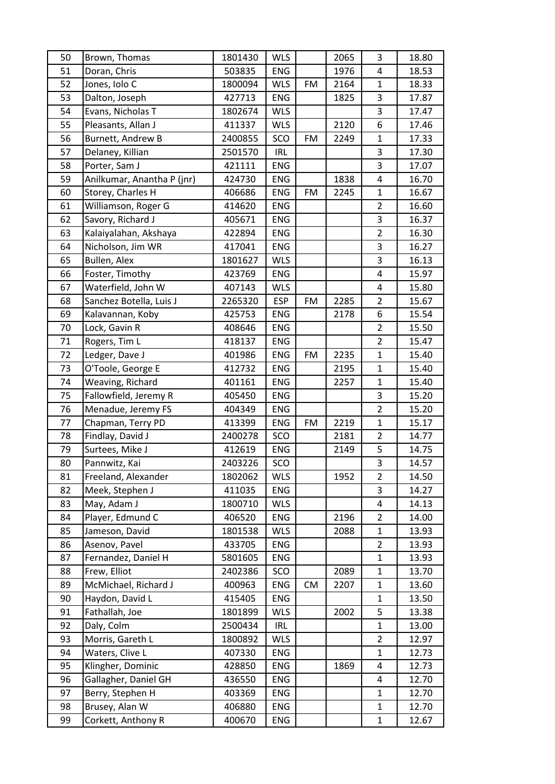| 50 | Brown, Thomas              | 1801430 | <b>WLS</b> |           | 2065 | 3              | 18.80 |
|----|----------------------------|---------|------------|-----------|------|----------------|-------|
| 51 | Doran, Chris               | 503835  | ENG        |           | 1976 | 4              | 18.53 |
| 52 | Jones, Iolo C              | 1800094 | <b>WLS</b> | <b>FM</b> | 2164 | $\mathbf{1}$   | 18.33 |
| 53 | Dalton, Joseph             | 427713  | <b>ENG</b> |           | 1825 | 3              | 17.87 |
| 54 | Evans, Nicholas T          | 1802674 | <b>WLS</b> |           |      | 3              | 17.47 |
| 55 | Pleasants, Allan J         | 411337  | <b>WLS</b> |           | 2120 | 6              | 17.46 |
| 56 | Burnett, Andrew B          | 2400855 | SCO        | <b>FM</b> | 2249 | $\mathbf{1}$   | 17.33 |
| 57 | Delaney, Killian           | 2501570 | <b>IRL</b> |           |      | 3              | 17.30 |
| 58 | Porter, Sam J              | 421111  | <b>ENG</b> |           |      | 3              | 17.07 |
| 59 | Anilkumar, Anantha P (jnr) | 424730  | <b>ENG</b> |           | 1838 | 4              | 16.70 |
| 60 | Storey, Charles H          | 406686  | <b>ENG</b> | <b>FM</b> | 2245 | $\mathbf{1}$   | 16.67 |
| 61 | Williamson, Roger G        | 414620  | <b>ENG</b> |           |      | $\overline{2}$ | 16.60 |
| 62 | Savory, Richard J          | 405671  | ENG        |           |      | 3              | 16.37 |
| 63 | Kalaiyalahan, Akshaya      | 422894  | <b>ENG</b> |           |      | $\overline{2}$ | 16.30 |
| 64 | Nicholson, Jim WR          | 417041  | <b>ENG</b> |           |      | $\mathsf 3$    | 16.27 |
| 65 | Bullen, Alex               | 1801627 | <b>WLS</b> |           |      | 3              | 16.13 |
| 66 | Foster, Timothy            | 423769  | ENG        |           |      | 4              | 15.97 |
| 67 | Waterfield, John W         | 407143  | <b>WLS</b> |           |      | 4              | 15.80 |
| 68 | Sanchez Botella, Luis J    | 2265320 | <b>ESP</b> | FM        | 2285 | $\overline{2}$ | 15.67 |
| 69 | Kalavannan, Koby           | 425753  | <b>ENG</b> |           | 2178 | 6              | 15.54 |
| 70 | Lock, Gavin R              | 408646  | ENG        |           |      | $\overline{2}$ | 15.50 |
| 71 | Rogers, Tim L              | 418137  | <b>ENG</b> |           |      | $\overline{2}$ | 15.47 |
| 72 | Ledger, Dave J             | 401986  | <b>ENG</b> | FM        | 2235 | $\mathbf{1}$   | 15.40 |
| 73 | O'Toole, George E          | 412732  | <b>ENG</b> |           | 2195 | $\mathbf 1$    | 15.40 |
| 74 | Weaving, Richard           | 401161  | <b>ENG</b> |           | 2257 | $\mathbf{1}$   | 15.40 |
| 75 | Fallowfield, Jeremy R      | 405450  | <b>ENG</b> |           |      | 3              | 15.20 |
| 76 | Menadue, Jeremy FS         | 404349  | <b>ENG</b> |           |      | $\overline{2}$ | 15.20 |
| 77 | Chapman, Terry PD          | 413399  | <b>ENG</b> | FM        | 2219 | $\mathbf{1}$   | 15.17 |
| 78 | Findlay, David J           | 2400278 | SCO        |           | 2181 | $\overline{2}$ | 14.77 |
| 79 | Surtees, Mike J            | 412619  | ENG        |           | 2149 | 5              | 14.75 |
| 80 | Pannwitz, Kai              | 2403226 | SCO        |           |      | 3              | 14.57 |
| 81 | Freeland, Alexander        | 1802062 | <b>WLS</b> |           | 1952 | $\overline{2}$ | 14.50 |
| 82 | Meek, Stephen J            | 411035  | ENG        |           |      | 3              | 14.27 |
| 83 | May, Adam J                | 1800710 | <b>WLS</b> |           |      | 4              | 14.13 |
| 84 | Player, Edmund C           | 406520  | ENG        |           | 2196 | $\overline{2}$ | 14.00 |
| 85 | Jameson, David             | 1801538 | <b>WLS</b> |           | 2088 | $\mathbf{1}$   | 13.93 |
| 86 | Asenov, Pavel              | 433705  | ENG        |           |      | $\overline{2}$ | 13.93 |
| 87 | Fernandez, Daniel H        | 5801605 | ENG        |           |      | $\mathbf{1}$   | 13.93 |
| 88 | Frew, Elliot               | 2402386 | SCO        |           | 2089 | $\mathbf{1}$   | 13.70 |
| 89 | McMichael, Richard J       | 400963  | ENG        | <b>CM</b> | 2207 | $\mathbf{1}$   | 13.60 |
| 90 | Haydon, David L            | 415405  | ENG        |           |      | $\mathbf{1}$   | 13.50 |
| 91 | Fathallah, Joe             | 1801899 | <b>WLS</b> |           | 2002 | 5              | 13.38 |
| 92 | Daly, Colm                 | 2500434 | <b>IRL</b> |           |      | $\mathbf{1}$   | 13.00 |
| 93 | Morris, Gareth L           | 1800892 | <b>WLS</b> |           |      | $\overline{2}$ | 12.97 |
| 94 | Waters, Clive L            | 407330  | ENG        |           |      | $\mathbf{1}$   | 12.73 |
| 95 | Klingher, Dominic          | 428850  | <b>ENG</b> |           | 1869 | 4              | 12.73 |
| 96 | Gallagher, Daniel GH       | 436550  | <b>ENG</b> |           |      | 4              | 12.70 |
| 97 | Berry, Stephen H           | 403369  | ENG        |           |      | $\mathbf{1}$   | 12.70 |
| 98 | Brusey, Alan W             | 406880  | ENG        |           |      | $\mathbf{1}$   | 12.70 |
| 99 | Corkett, Anthony R         | 400670  | ENG        |           |      | $\mathbf 1$    | 12.67 |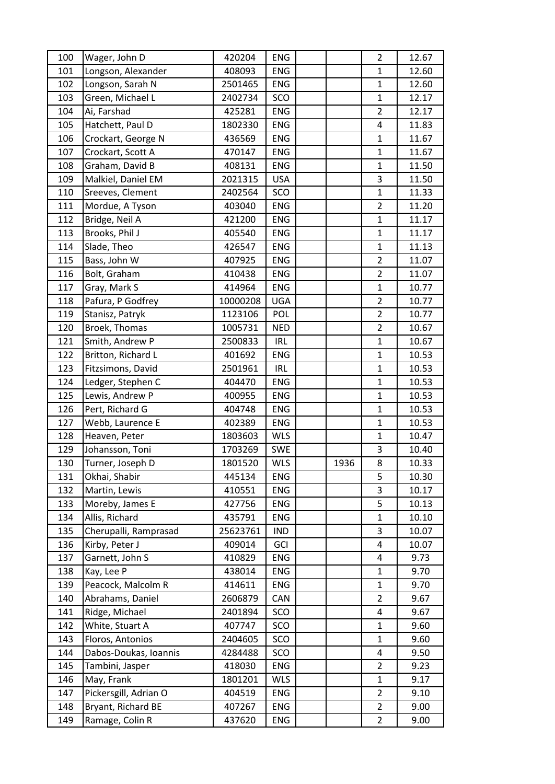| 100 | Wager, John D         | 420204   | <b>ENG</b> |      | $\overline{2}$ | 12.67 |
|-----|-----------------------|----------|------------|------|----------------|-------|
| 101 | Longson, Alexander    | 408093   | <b>ENG</b> |      | 1              | 12.60 |
| 102 | Longson, Sarah N      | 2501465  | <b>ENG</b> |      | $\mathbf{1}$   | 12.60 |
| 103 | Green, Michael L      | 2402734  | SCO        |      | $\mathbf{1}$   | 12.17 |
| 104 | Ai, Farshad           | 425281   | <b>ENG</b> |      | $\overline{2}$ | 12.17 |
| 105 | Hatchett, Paul D      | 1802330  | <b>ENG</b> |      | 4              | 11.83 |
| 106 | Crockart, George N    | 436569   | <b>ENG</b> |      | $\mathbf{1}$   | 11.67 |
| 107 | Crockart, Scott A     | 470147   | <b>ENG</b> |      | $\mathbf 1$    | 11.67 |
| 108 | Graham, David B       | 408131   | <b>ENG</b> |      | $\mathbf{1}$   | 11.50 |
| 109 | Malkiel, Daniel EM    | 2021315  | <b>USA</b> |      | 3              | 11.50 |
| 110 | Sreeves, Clement      | 2402564  | SCO        |      | $\mathbf{1}$   | 11.33 |
| 111 | Mordue, A Tyson       | 403040   | <b>ENG</b> |      | $\overline{2}$ | 11.20 |
| 112 | Bridge, Neil A        | 421200   | <b>ENG</b> |      | $\mathbf{1}$   | 11.17 |
| 113 | Brooks, Phil J        | 405540   | <b>ENG</b> |      | $\mathbf{1}$   | 11.17 |
| 114 | Slade, Theo           | 426547   | ENG        |      | $\mathbf{1}$   | 11.13 |
| 115 | Bass, John W          | 407925   | <b>ENG</b> |      | $\overline{2}$ | 11.07 |
| 116 | Bolt, Graham          | 410438   | <b>ENG</b> |      | $\overline{2}$ | 11.07 |
| 117 | Gray, Mark S          | 414964   | <b>ENG</b> |      | $\mathbf{1}$   | 10.77 |
| 118 | Pafura, P Godfrey     | 10000208 | <b>UGA</b> |      | $\overline{2}$ | 10.77 |
| 119 | Stanisz, Patryk       | 1123106  | POL        |      | $\overline{2}$ | 10.77 |
| 120 | Broek, Thomas         | 1005731  | <b>NED</b> |      | $\overline{2}$ | 10.67 |
| 121 | Smith, Andrew P       | 2500833  | <b>IRL</b> |      | $\mathbf{1}$   | 10.67 |
| 122 | Britton, Richard L    | 401692   | <b>ENG</b> |      | $\mathbf{1}$   | 10.53 |
| 123 | Fitzsimons, David     | 2501961  | IRL        |      | $\mathbf{1}$   | 10.53 |
| 124 | Ledger, Stephen C     | 404470   | <b>ENG</b> |      | $\mathbf{1}$   | 10.53 |
| 125 | Lewis, Andrew P       | 400955   | <b>ENG</b> |      | $\mathbf{1}$   | 10.53 |
| 126 | Pert, Richard G       | 404748   | <b>ENG</b> |      | $\mathbf{1}$   | 10.53 |
| 127 | Webb, Laurence E      | 402389   | <b>ENG</b> |      | $\mathbf{1}$   | 10.53 |
| 128 | Heaven, Peter         | 1803603  | <b>WLS</b> |      | $\mathbf 1$    | 10.47 |
| 129 | Johansson, Toni       | 1703269  | SWE        |      | 3              | 10.40 |
| 130 | Turner, Joseph D      | 1801520  | <b>WLS</b> | 1936 | 8              | 10.33 |
| 131 | Okhai, Shabir         | 445134   | <b>ENG</b> |      | 5              | 10.30 |
| 132 | Martin, Lewis         | 410551   | <b>ENG</b> |      | 3              | 10.17 |
| 133 | Moreby, James E       | 427756   | ENG        |      | 5              | 10.13 |
| 134 | Allis, Richard        | 435791   | <b>ENG</b> |      | $\mathbf{1}$   | 10.10 |
| 135 | Cherupalli, Ramprasad | 25623761 | IND        |      | 3              | 10.07 |
| 136 | Kirby, Peter J        | 409014   | GCI        |      | 4              | 10.07 |
| 137 | Garnett, John S       | 410829   | ENG        |      | 4              | 9.73  |
| 138 | Kay, Lee P            | 438014   | <b>ENG</b> |      | $\mathbf{1}$   | 9.70  |
| 139 | Peacock, Malcolm R    | 414611   | <b>ENG</b> |      | 1              | 9.70  |
| 140 | Abrahams, Daniel      | 2606879  | CAN        |      | $\overline{2}$ | 9.67  |
| 141 | Ridge, Michael        | 2401894  | SCO        |      | 4              | 9.67  |
| 142 | White, Stuart A       | 407747   | SCO        |      | $\mathbf 1$    | 9.60  |
| 143 | Floros, Antonios      | 2404605  | SCO        |      | $\mathbf{1}$   | 9.60  |
| 144 | Dabos-Doukas, Ioannis | 4284488  | SCO        |      | 4              | 9.50  |
| 145 | Tambini, Jasper       | 418030   | ENG        |      | 2              | 9.23  |
| 146 | May, Frank            | 1801201  | <b>WLS</b> |      | $\mathbf{1}$   | 9.17  |
| 147 | Pickersgill, Adrian O | 404519   | <b>ENG</b> |      | $\overline{2}$ | 9.10  |
| 148 | Bryant, Richard BE    | 407267   | <b>ENG</b> |      | $\overline{2}$ | 9.00  |
| 149 | Ramage, Colin R       | 437620   | ENG        |      | $\overline{2}$ | 9.00  |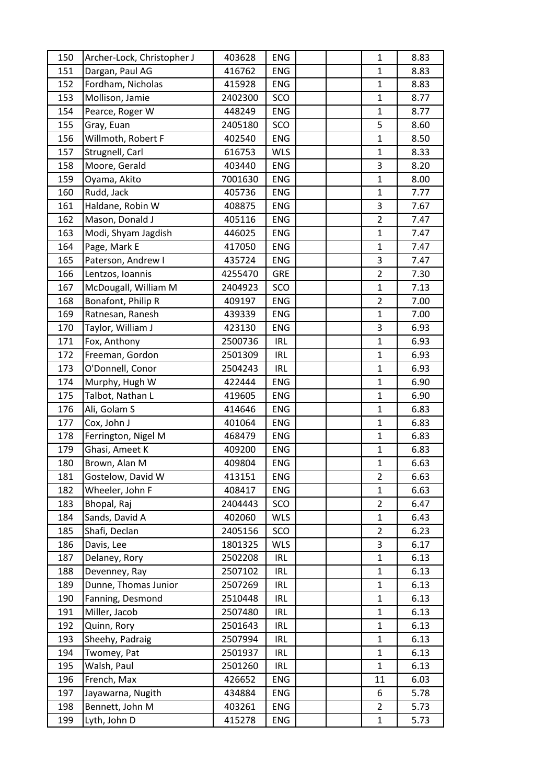| 150 | Archer-Lock, Christopher J | 403628  | <b>ENG</b> |  | 1              | 8.83 |
|-----|----------------------------|---------|------------|--|----------------|------|
| 151 | Dargan, Paul AG            | 416762  | <b>ENG</b> |  | $\mathbf{1}$   | 8.83 |
| 152 | Fordham, Nicholas          | 415928  | ENG        |  | $\mathbf{1}$   | 8.83 |
| 153 | Mollison, Jamie            | 2402300 | SCO        |  | $\mathbf{1}$   | 8.77 |
| 154 | Pearce, Roger W            | 448249  | <b>ENG</b> |  | $\mathbf{1}$   | 8.77 |
| 155 | Gray, Euan                 | 2405180 | SCO        |  | 5              | 8.60 |
| 156 | Willmoth, Robert F         | 402540  | <b>ENG</b> |  | $\mathbf{1}$   | 8.50 |
| 157 | Strugnell, Carl            | 616753  | <b>WLS</b> |  | $\mathbf{1}$   | 8.33 |
| 158 | Moore, Gerald              | 403440  | <b>ENG</b> |  | 3              | 8.20 |
| 159 | Oyama, Akito               | 7001630 | <b>ENG</b> |  | $\mathbf{1}$   | 8.00 |
| 160 | Rudd, Jack                 | 405736  | <b>ENG</b> |  | $\mathbf{1}$   | 7.77 |
| 161 | Haldane, Robin W           | 408875  | <b>ENG</b> |  | 3              | 7.67 |
| 162 | Mason, Donald J            | 405116  | <b>ENG</b> |  | $\mathbf 2$    | 7.47 |
| 163 | Modi, Shyam Jagdish        | 446025  | <b>ENG</b> |  | $\mathbf{1}$   | 7.47 |
| 164 | Page, Mark E               | 417050  | <b>ENG</b> |  | $\mathbf 1$    | 7.47 |
| 165 | Paterson, Andrew I         | 435724  | <b>ENG</b> |  | 3              | 7.47 |
| 166 | Lentzos, Ioannis           | 4255470 | <b>GRE</b> |  | $\overline{2}$ | 7.30 |
| 167 | McDougall, William M       | 2404923 | SCO        |  | $\mathbf{1}$   | 7.13 |
| 168 | Bonafont, Philip R         | 409197  | <b>ENG</b> |  | $\overline{2}$ | 7.00 |
| 169 | Ratnesan, Ranesh           | 439339  | <b>ENG</b> |  | $\mathbf{1}$   | 7.00 |
| 170 | Taylor, William J          | 423130  | <b>ENG</b> |  | 3              | 6.93 |
| 171 | Fox, Anthony               | 2500736 | <b>IRL</b> |  | $\mathbf 1$    | 6.93 |
| 172 | Freeman, Gordon            | 2501309 | <b>IRL</b> |  | $\mathbf{1}$   | 6.93 |
| 173 | O'Donnell, Conor           | 2504243 | <b>IRL</b> |  | $\mathbf{1}$   | 6.93 |
| 174 | Murphy, Hugh W             | 422444  | <b>ENG</b> |  | 1              | 6.90 |
| 175 | Talbot, Nathan L           | 419605  | <b>ENG</b> |  | $\mathbf{1}$   | 6.90 |
| 176 | Ali, Golam S               | 414646  | <b>ENG</b> |  | $\mathbf{1}$   | 6.83 |
| 177 | Cox, John J                | 401064  | ENG        |  | $\mathbf{1}$   | 6.83 |
| 178 | Ferrington, Nigel M        | 468479  | ENG        |  | $\mathbf{1}$   | 6.83 |
| 179 | Ghasi, Ameet K             | 409200  | ENG        |  | $\mathbf{1}$   | 6.83 |
| 180 | Brown, Alan M              | 409804  | ENG        |  | $\mathbf{1}$   | 6.63 |
| 181 | Gostelow, David W          | 413151  | ENG        |  | 2              | 6.63 |
| 182 | Wheeler, John F            | 408417  | <b>ENG</b> |  | $\mathbf{1}$   | 6.63 |
| 183 | Bhopal, Raj                | 2404443 | SCO        |  | $\overline{2}$ | 6.47 |
| 184 | Sands, David A             | 402060  | <b>WLS</b> |  | $\mathbf{1}$   | 6.43 |
| 185 | Shafi, Declan              | 2405156 | SCO        |  | $\overline{2}$ | 6.23 |
| 186 | Davis, Lee                 | 1801325 | <b>WLS</b> |  | 3              | 6.17 |
| 187 | Delaney, Rory              | 2502208 | <b>IRL</b> |  | 1              | 6.13 |
| 188 | Devenney, Ray              | 2507102 | IRL.       |  | $\mathbf{1}$   | 6.13 |
| 189 | Dunne, Thomas Junior       | 2507269 | <b>IRL</b> |  | $\mathbf{1}$   | 6.13 |
| 190 | Fanning, Desmond           | 2510448 | <b>IRL</b> |  | $\mathbf{1}$   | 6.13 |
| 191 | Miller, Jacob              | 2507480 | <b>IRL</b> |  | $\mathbf{1}$   | 6.13 |
| 192 | Quinn, Rory                | 2501643 | IRL        |  | $\mathbf{1}$   | 6.13 |
| 193 | Sheehy, Padraig            | 2507994 | <b>IRL</b> |  | $\mathbf{1}$   | 6.13 |
| 194 | Twomey, Pat                | 2501937 | <b>IRL</b> |  | $\mathbf{1}$   | 6.13 |
| 195 | Walsh, Paul                | 2501260 | <b>IRL</b> |  | $\mathbf{1}$   | 6.13 |
| 196 | French, Max                | 426652  | ENG        |  | 11             | 6.03 |
| 197 | Jayawarna, Nugith          | 434884  | ENG        |  | 6              | 5.78 |
| 198 | Bennett, John M            | 403261  | <b>ENG</b> |  | $\overline{2}$ | 5.73 |
| 199 | Lyth, John D               | 415278  | ENG        |  | 1              | 5.73 |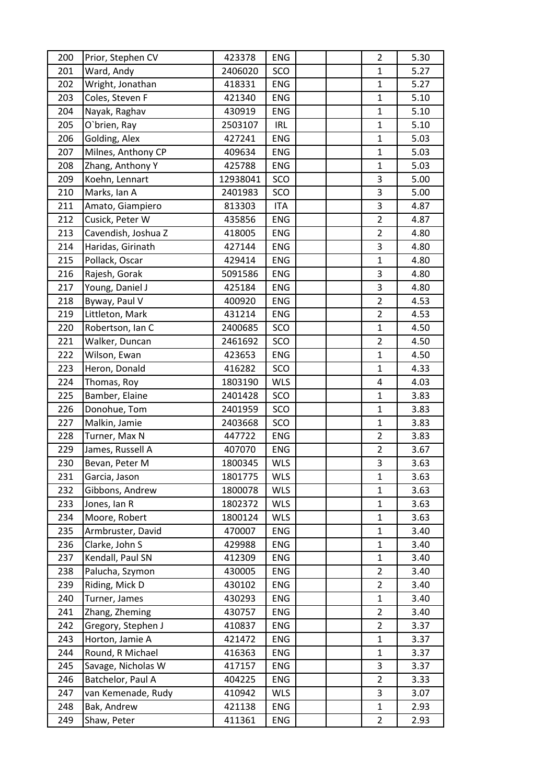| 200 | Prior, Stephen CV   | 423378   | <b>ENG</b> |  | $\overline{2}$ | 5.30 |
|-----|---------------------|----------|------------|--|----------------|------|
| 201 | Ward, Andy          | 2406020  | SCO        |  | $\mathbf{1}$   | 5.27 |
| 202 | Wright, Jonathan    | 418331   | <b>ENG</b> |  | $\mathbf 1$    | 5.27 |
| 203 | Coles, Steven F     | 421340   | <b>ENG</b> |  | $\mathbf{1}$   | 5.10 |
| 204 | Nayak, Raghav       | 430919   | <b>ENG</b> |  | $\mathbf{1}$   | 5.10 |
| 205 | O'brien, Ray        | 2503107  | <b>IRL</b> |  | $\mathbf{1}$   | 5.10 |
| 206 | Golding, Alex       | 427241   | ENG        |  | $\mathbf{1}$   | 5.03 |
| 207 | Milnes, Anthony CP  | 409634   | <b>ENG</b> |  | $\mathbf{1}$   | 5.03 |
| 208 | Zhang, Anthony Y    | 425788   | ENG        |  | $\mathbf{1}$   | 5.03 |
| 209 | Koehn, Lennart      | 12938041 | SCO        |  | 3              | 5.00 |
| 210 | Marks, Ian A        | 2401983  | SCO        |  | 3              | 5.00 |
| 211 | Amato, Giampiero    | 813303   | <b>ITA</b> |  | 3              | 4.87 |
| 212 | Cusick, Peter W     | 435856   | <b>ENG</b> |  | $\overline{2}$ | 4.87 |
| 213 | Cavendish, Joshua Z | 418005   | ENG        |  | $\overline{2}$ | 4.80 |
| 214 | Haridas, Girinath   | 427144   | <b>ENG</b> |  | 3              | 4.80 |
| 215 | Pollack, Oscar      | 429414   | ENG        |  | $\mathbf{1}$   | 4.80 |
| 216 | Rajesh, Gorak       | 5091586  | ENG        |  | 3              | 4.80 |
| 217 | Young, Daniel J     | 425184   | <b>ENG</b> |  | 3              | 4.80 |
| 218 | Byway, Paul V       | 400920   | ENG        |  | $\overline{2}$ | 4.53 |
| 219 | Littleton, Mark     | 431214   | <b>ENG</b> |  | $\overline{2}$ | 4.53 |
| 220 | Robertson, Ian C    | 2400685  | SCO        |  | $\mathbf{1}$   | 4.50 |
| 221 | Walker, Duncan      | 2461692  | SCO        |  | $\overline{2}$ | 4.50 |
| 222 | Wilson, Ewan        | 423653   | <b>ENG</b> |  | $\mathbf{1}$   | 4.50 |
| 223 | Heron, Donald       | 416282   | SCO        |  | $\mathbf{1}$   | 4.33 |
| 224 | Thomas, Roy         | 1803190  | <b>WLS</b> |  | 4              | 4.03 |
| 225 | Bamber, Elaine      | 2401428  | SCO        |  | $\mathbf{1}$   | 3.83 |
| 226 | Donohue, Tom        | 2401959  | SCO        |  | $\mathbf{1}$   | 3.83 |
| 227 | Malkin, Jamie       | 2403668  | SCO        |  | $\mathbf{1}$   | 3.83 |
| 228 | Turner, Max N       | 447722   | ENG        |  | $\overline{2}$ | 3.83 |
| 229 | James, Russell A    | 407070   | <b>ENG</b> |  | $\overline{2}$ | 3.67 |
| 230 | Bevan, Peter M      | 1800345  | <b>WLS</b> |  | 3              | 3.63 |
| 231 | Garcia, Jason       | 1801775  | <b>WLS</b> |  | $\mathbf{1}$   | 3.63 |
| 232 | Gibbons, Andrew     | 1800078  | <b>WLS</b> |  | 1              | 3.63 |
| 233 | Jones, Ian R        | 1802372  | <b>WLS</b> |  | $\mathbf{1}$   | 3.63 |
| 234 | Moore, Robert       | 1800124  | <b>WLS</b> |  | $\mathbf{1}$   | 3.63 |
| 235 | Armbruster, David   | 470007   | ENG        |  | $\mathbf{1}$   | 3.40 |
| 236 | Clarke, John S      | 429988   | ENG        |  | $\mathbf{1}$   | 3.40 |
| 237 | Kendall, Paul SN    | 412309   | ENG        |  | $\mathbf{1}$   | 3.40 |
| 238 | Palucha, Szymon     | 430005   | <b>ENG</b> |  | $\overline{2}$ | 3.40 |
| 239 | Riding, Mick D      | 430102   | ENG        |  | $\overline{2}$ | 3.40 |
| 240 | Turner, James       | 430293   | ENG        |  | $\mathbf 1$    | 3.40 |
| 241 | Zhang, Zheming      | 430757   | ENG        |  | $\overline{2}$ | 3.40 |
| 242 | Gregory, Stephen J  | 410837   | ENG        |  | $\overline{2}$ | 3.37 |
| 243 | Horton, Jamie A     | 421472   | ENG        |  | $\mathbf 1$    | 3.37 |
| 244 | Round, R Michael    | 416363   | ENG        |  | $\mathbf{1}$   | 3.37 |
| 245 | Savage, Nicholas W  | 417157   | <b>ENG</b> |  | 3              | 3.37 |
| 246 | Batchelor, Paul A   | 404225   | ENG        |  | $\overline{2}$ | 3.33 |
| 247 | van Kemenade, Rudy  | 410942   | <b>WLS</b> |  | 3              | 3.07 |
| 248 | Bak, Andrew         | 421138   | ENG        |  | $\mathbf{1}$   | 2.93 |
| 249 | Shaw, Peter         | 411361   | ENG        |  | $\overline{2}$ | 2.93 |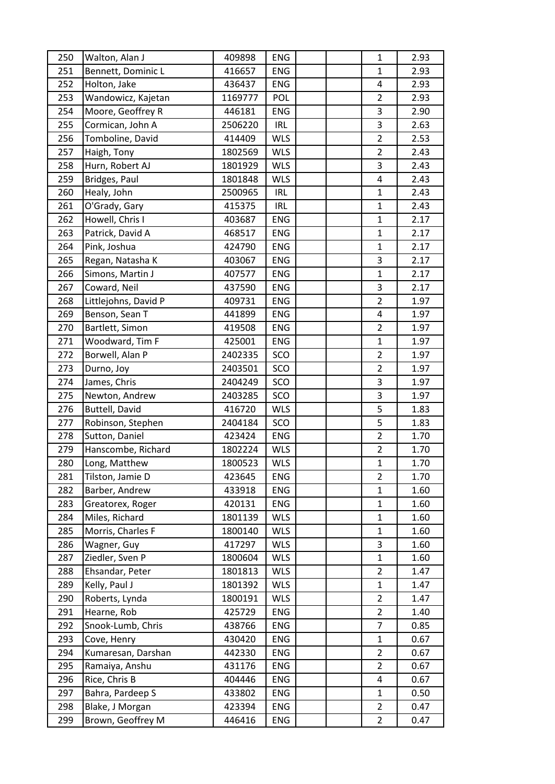| 250 | Walton, Alan J       | 409898  | <b>ENG</b> |  | $\mathbf{1}$   | 2.93 |
|-----|----------------------|---------|------------|--|----------------|------|
| 251 | Bennett, Dominic L   | 416657  | <b>ENG</b> |  | $\mathbf{1}$   | 2.93 |
| 252 | Holton, Jake         | 436437  | <b>ENG</b> |  | 4              | 2.93 |
| 253 | Wandowicz, Kajetan   | 1169777 | POL        |  | $\overline{2}$ | 2.93 |
| 254 | Moore, Geoffrey R    | 446181  | <b>ENG</b> |  | 3              | 2.90 |
| 255 | Cormican, John A     | 2506220 | IRL        |  | 3              | 2.63 |
| 256 | Tomboline, David     | 414409  | <b>WLS</b> |  | $\overline{2}$ | 2.53 |
| 257 | Haigh, Tony          | 1802569 | <b>WLS</b> |  | $\mathbf 2$    | 2.43 |
| 258 | Hurn, Robert AJ      | 1801929 | <b>WLS</b> |  | 3              | 2.43 |
| 259 | Bridges, Paul        | 1801848 | <b>WLS</b> |  | 4              | 2.43 |
| 260 | Healy, John          | 2500965 | <b>IRL</b> |  | $\mathbf{1}$   | 2.43 |
| 261 | O'Grady, Gary        | 415375  | <b>IRL</b> |  | $\mathbf{1}$   | 2.43 |
| 262 | Howell, Chris I      | 403687  | <b>ENG</b> |  | $\mathbf{1}$   | 2.17 |
| 263 | Patrick, David A     | 468517  | <b>ENG</b> |  | $\mathbf{1}$   | 2.17 |
| 264 | Pink, Joshua         | 424790  | ENG        |  | $\mathbf{1}$   | 2.17 |
| 265 | Regan, Natasha K     | 403067  | <b>ENG</b> |  | 3              | 2.17 |
| 266 | Simons, Martin J     | 407577  | <b>ENG</b> |  | $\mathbf 1$    | 2.17 |
| 267 | Coward, Neil         | 437590  | <b>ENG</b> |  | 3              | 2.17 |
| 268 | Littlejohns, David P | 409731  | <b>ENG</b> |  | $\overline{2}$ | 1.97 |
| 269 | Benson, Sean T       | 441899  | ENG        |  | 4              | 1.97 |
| 270 | Bartlett, Simon      | 419508  | <b>ENG</b> |  | $\overline{2}$ | 1.97 |
| 271 | Woodward, Tim F      | 425001  | <b>ENG</b> |  | $\mathbf{1}$   | 1.97 |
| 272 | Borwell, Alan P      | 2402335 | SCO        |  | $\overline{2}$ | 1.97 |
| 273 | Durno, Joy           | 2403501 | SCO        |  | $\overline{2}$ | 1.97 |
| 274 | James, Chris         | 2404249 | SCO        |  | 3              | 1.97 |
| 275 | Newton, Andrew       | 2403285 | SCO        |  | 3              | 1.97 |
| 276 | Buttell, David       | 416720  | <b>WLS</b> |  | 5              | 1.83 |
| 277 | Robinson, Stephen    | 2404184 | SCO        |  | 5              | 1.83 |
| 278 | Sutton, Daniel       | 423424  | <b>ENG</b> |  | $\overline{2}$ | 1.70 |
| 279 | Hanscombe, Richard   | 1802224 | <b>WLS</b> |  | $\overline{2}$ | 1.70 |
| 280 | Long, Matthew        | 1800523 | <b>WLS</b> |  | $\overline{1}$ | 1.70 |
| 281 | Tilston, Jamie D     | 423645  | <b>ENG</b> |  | $\overline{2}$ | 1.70 |
| 282 | Barber, Andrew       | 433918  | <b>ENG</b> |  | 1              | 1.60 |
| 283 | Greatorex, Roger     | 420131  | <b>ENG</b> |  | $\mathbf{1}$   | 1.60 |
| 284 | Miles, Richard       | 1801139 | <b>WLS</b> |  | $\mathbf{1}$   | 1.60 |
| 285 | Morris, Charles F    | 1800140 | <b>WLS</b> |  | $\mathbf{1}$   | 1.60 |
| 286 | Wagner, Guy          | 417297  | <b>WLS</b> |  | 3              | 1.60 |
| 287 | Ziedler, Sven P      | 1800604 | <b>WLS</b> |  | $\mathbf{1}$   | 1.60 |
| 288 | Ehsandar, Peter      | 1801813 | <b>WLS</b> |  | $\overline{2}$ | 1.47 |
| 289 | Kelly, Paul J        | 1801392 | <b>WLS</b> |  | $\mathbf{1}$   | 1.47 |
| 290 | Roberts, Lynda       | 1800191 | <b>WLS</b> |  | $\overline{2}$ | 1.47 |
| 291 | Hearne, Rob          | 425729  | ENG        |  | $\overline{2}$ | 1.40 |
| 292 | Snook-Lumb, Chris    | 438766  | <b>ENG</b> |  | 7              | 0.85 |
| 293 | Cove, Henry          | 430420  | <b>ENG</b> |  | $\mathbf{1}$   | 0.67 |
| 294 | Kumaresan, Darshan   | 442330  | <b>ENG</b> |  | $\overline{2}$ | 0.67 |
| 295 | Ramaiya, Anshu       | 431176  | <b>ENG</b> |  | 2              | 0.67 |
| 296 | Rice, Chris B        | 404446  | ENG        |  | 4              | 0.67 |
| 297 | Bahra, Pardeep S     | 433802  | ENG        |  | $\mathbf{1}$   | 0.50 |
| 298 | Blake, J Morgan      | 423394  | ENG        |  | $\overline{2}$ | 0.47 |
| 299 | Brown, Geoffrey M    | 446416  | ENG        |  | $\overline{2}$ | 0.47 |